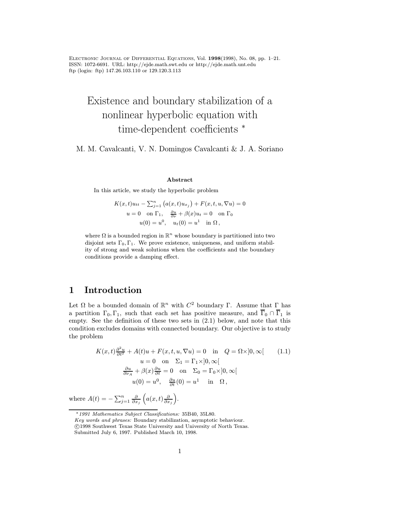Electronic Journal of Differential Equations, Vol. <sup>1998</sup>(1998), No. 08, pp. 1–21. ISSN: 1072-6691. URL: http://ejde.math.swt.edu or http://ejde.math.unt.edu ftp (login: ftp) 147.26.103.110 or 129.120.3.113

# Existence and boundary stabilization of a nonlinear hyperbolic equation with time-dependent coefficients <sup>∗</sup>

M. M. Cavalcanti, V. N. Domingos Cavalcanti & J. A. Soriano

#### Abstract

In this article, we study the hyperbolic problem

$$
K(x,t)u_{tt} - \sum_{j=1}^{n} (a(x,t)u_{x_j}) + F(x,t,u,\nabla u) = 0
$$
  
 
$$
u = 0 \quad \text{on } \Gamma_1, \quad \frac{\partial u}{\partial \nu} + \beta(x)u_t = 0 \quad \text{on } \Gamma_0
$$
  
 
$$
u(0) = u^0, \quad u_t(0) = u^1 \quad \text{in } \Omega,
$$

where  $\Omega$  is a bounded region in  $\mathbb{R}^n$  whose boundary is partitioned into two disjoint sets  $\Gamma_0, \Gamma_1$ . We prove existence, uniqueness, and uniform stability of strong and weak solutions when the coefficients and the boundary conditions provide a damping effect.

# 1 Introduction

Let  $\Omega$  be a bounded domain of  $\mathbb{R}^n$  with  $C^2$  boundary Γ. Assume that Γ has a partition  $\Gamma_0, \Gamma_1$ , such that each set has positive measure, and  $\overline{\Gamma}_0 \cap \overline{\Gamma}_1$  is empty. See the definition of these two sets in (2.1) below, and note that this condition excludes domains with connected boundary. Our objective is to study the problem

$$
K(x,t)\frac{\partial^2 u}{\partial t^2} + A(t)u + F(x,t,u,\nabla u) = 0 \quad \text{in} \quad Q = \Omega \times ]0,\infty[
$$
  
\n
$$
u = 0 \quad \text{on} \quad \Sigma_1 = \Gamma_1 \times ]0,\infty[
$$
  
\n
$$
\frac{\partial u}{\partial \nu_A} + \beta(x)\frac{\partial u}{\partial t} = 0 \quad \text{on} \quad \Sigma_0 = \Gamma_0 \times ]0,\infty[
$$
  
\n
$$
u(0) = u^0, \quad \frac{\partial u}{\partial t}(0) = u^1 \quad \text{in} \quad \Omega,
$$

where  $A(t) = -\sum_{j=1}^{n} \frac{\partial}{\partial x_j} \left( a(x, t) \frac{\partial}{\partial x_j} \right)$ .

<sup>∗</sup>1991 Mathematics Subject Classifications: 35B40, 35L80.

Key words and phrases: Boundary stabilization, asymptotic behaviour. c 1998 Southwest Texas State University and University of North Texas.

Submitted July 6, 1997. Published March 10, 1998.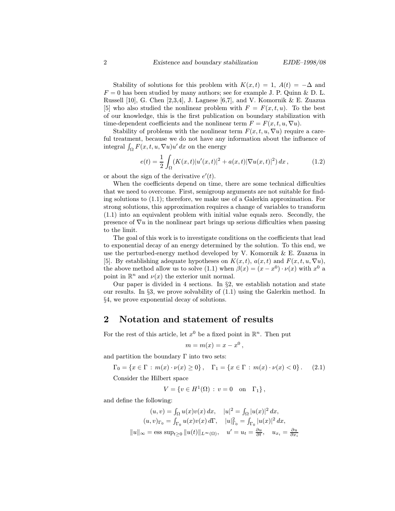Stability of solutions for this problem with  $K(x,t) = 1$ ,  $A(t) = -\Delta$  and  $F = 0$  has been studied by many authors; see for example J. P. Quinn & D. L. Russell [10], G. Chen [2,3,4], J. Lagnese [6,7], and V. Komornik & E. Zuazua [5] who also studied the nonlinear problem with  $F = F(x, t, u)$ . To the best of our knowledge, this is the first publication on boundary stabilization with time-dependent coefficients and the nonlinear term  $F = F(x, t, u, \nabla u)$ .

Stability of problems with the nonlinear term  $F(x, t, u, \nabla u)$  require a careful treatment, because we do not have any information about the influence of integral  $\int_{\Omega} F(x, t, u, \nabla u)u' dx$  on the energy

$$
e(t) = \frac{1}{2} \int_{\Omega} (K(x,t)|u'(x,t)|^2 + a(x,t)|\nabla u(x,t)|^2) dx, \qquad (1.2)
$$

or about the sign of the derivative  $e'(t)$ .

When the coefficients depend on time, there are some technical difficulties that we need to overcome. First, semigroup arguments are not suitable for finding solutions to (1.1); therefore, we make use of a Galerkin approximation. For strong solutions, this approximation requires a change of variables to transform (1.1) into an equivalent problem with initial value equals zero. Secondly, the presence of  $\nabla u$  in the nonlinear part brings up serious difficulties when passing to the limit.

The goal of this work is to investigate conditions on the coefficients that lead to exponential decay of an energy determined by the solution. To this end, we use the perturbed-energy method developed by V. Komornik & E. Zuazua in [5]. By establishing adequate hypotheses on  $K(x,t)$ ,  $a(x,t)$  and  $F(x,t,u,\nabla u)$ , the above method allow us to solve (1.1) when  $\beta(x)=(x-x^0)\cdot \nu(x)$  with  $x^0$  a point in  $\mathbb{R}^n$  and  $\nu(x)$  the exterior unit normal.

Our paper is divided in 4 sections. In §2, we establish notation and state our results. In §3, we prove solvability of (1.1) using the Galerkin method. In §4, we prove exponential decay of solutions.

# 2 Notation and statement of results

For the rest of this article, let  $x^0$  be a fixed point in  $\mathbb{R}^n$ . Then put

$$
m = m(x) = x - x^0,
$$

and partition the boundary  $\Gamma$  into two sets:

$$
\Gamma_0 = \{ x \in \Gamma : m(x) \cdot \nu(x) \ge 0 \}, \quad \Gamma_1 = \{ x \in \Gamma : m(x) \cdot \nu(x) < 0 \}.
$$
 (2.1)

Consider the Hilbert space

$$
V = \{ v \in H^1(\Omega) : v = 0 \quad \text{on} \quad \Gamma_1 \},
$$

and define the following:

$$
(u, v) = \int_{\Omega} u(x)v(x) dx, \quad |u|^2 = \int_{\Omega} |u(x)|^2 dx,
$$
  

$$
(u, v)_{\Gamma_0} = \int_{\Gamma_0} u(x)v(x) d\Gamma, \quad |u|_{\Gamma_0}^2 = \int_{\Gamma_0} |u(x)|^2 dx,
$$
  

$$
||u||_{\infty} = \text{ess sup}_{t \ge 0} ||u(t)||_{L^{\infty}(\Omega)}, \quad u' = u_t = \frac{\partial u}{\partial t}, \quad u_{x_i} = \frac{\partial u}{\partial x_i}
$$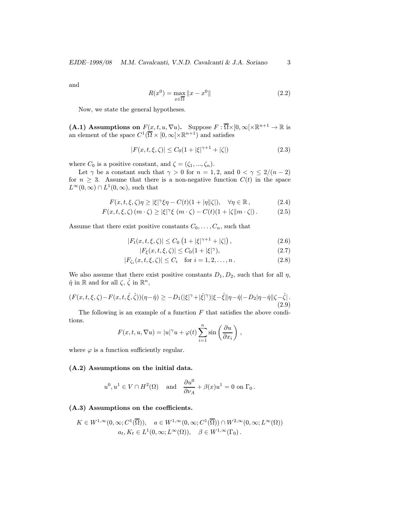and

$$
R(x^{0}) = \max_{x \in \overline{\Omega}} \|x - x^{0}\|
$$
\n(2.2)

Now, we state the general hypotheses.

(A.1) Assumptions on  $F(x, t, u, \nabla u)$ . Suppose  $F : \overline{\Omega} \times [0, \infty) \times \mathbb{R}^{n+1} \to \mathbb{R}$  is an element of the space  $C^1(\overline{\Omega} \times [0,\infty[\times \mathbb{R}^{n+1})$  and satisfies

$$
|F(x,t,\xi,\zeta)| \le C_0(1+|\xi|^{\gamma+1}+|\zeta|) \tag{2.3}
$$

where  $C_0$  is a positive constant, and  $\zeta = (\zeta_1, ..., \zeta_n)$ .

Let  $\gamma$  be a constant such that  $\gamma > 0$  for  $n = 1, 2$ , and  $0 < \gamma \leq 2/(n-2)$ for  $n \geq 3$ . Assume that there is a non-negative function  $C(t)$  in the space  $L^{\infty}(0,\infty) \cap L^{1}(0,\infty)$ , such that

$$
F(x,t,\xi,\zeta)\eta \ge |\xi|^\gamma \xi \eta - C(t)(1+|\eta||\zeta|), \quad \forall \eta \in \mathbb{R}, \tag{2.4}
$$

$$
F(x, t, \xi, \zeta) (m \cdot \zeta) \ge |\xi| \tilde{\zeta} (m \cdot \zeta) - C(t)(1 + |\zeta| |m \cdot \zeta|). \tag{2.5}
$$

Assume that there exist positive constants  $C_0, \ldots, C_n$ , such that

$$
|F_t(x, t, \xi, \zeta)| \le C_0 \left( 1 + |\xi|^{\gamma + 1} + |\zeta| \right), \tag{2.6}
$$

$$
|F_{\xi}(x, t, \xi, \zeta)| \le C_0 (1 + |\xi|^{\gamma}), \tag{2.7}
$$

$$
|F_{\zeta_i}(x, t, \xi, \zeta)| \le C_i \quad \text{for } i = 1, 2, \dots, n. \tag{2.8}
$$

We also assume that there exist positive constants  $D_1, D_2$ , such that for all  $\eta$ ,  $\hat{\eta}$  in  $\mathbb{R}$  and for all  $\zeta, \hat{\zeta}$  in  $\mathbb{R}^n$ ,

$$
(F(x,t,\xi,\zeta)-F(x,t,\hat{\xi},\hat{\zeta}))(\eta-\hat{\eta}) \ge -D_1(|\xi|^\gamma+|\hat{\xi}|^\gamma)|\xi-\hat{\xi}\|\eta-\hat{\eta}\|-D_2|\eta-\hat{\eta}\| \zeta-\hat{\zeta}|.
$$
\n(2.9)

The following is an example of a function  $F$  that satisfies the above conditions.

$$
F(x, t, u, \nabla u) = |u|^{\gamma} u + \varphi(t) \sum_{i=1}^{n} \sin\left(\frac{\partial u}{\partial x_i}\right),
$$

where  $\varphi$  is a function sufficiently regular.

#### (A.2) Assumptions on the initial data.

$$
u^0, u^1 \in V \cap H^2(\Omega)
$$
 and  $\frac{\partial u^0}{\partial \nu_A} + \beta(x)u^1 = 0$  on  $\Gamma_0$ .

## (A.3) Assumptions on the coefficients.

$$
K \in W^{1,\infty}(0,\infty; C^1(\overline{\Omega})), \quad a \in W^{1,\infty}(0,\infty; C^1(\overline{\Omega})) \cap W^{2,\infty}(0,\infty; L^{\infty}(\Omega))
$$

$$
a_t, K_t \in L^1(0,\infty; L^{\infty}(\Omega)), \quad \beta \in W^{1,\infty}(\Gamma_0).
$$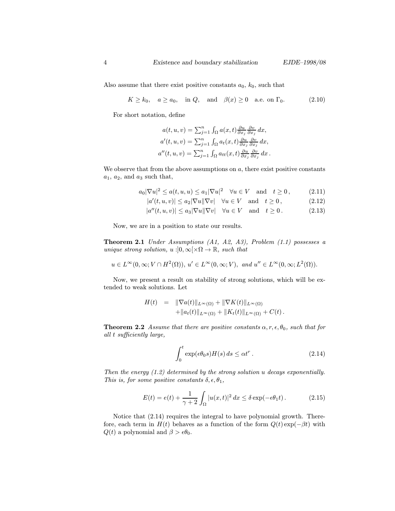Also assume that there exist positive constants  $a_0, k_0$ , such that

$$
K \ge k_0, \quad a \ge a_0, \quad \text{in } Q, \quad \text{and} \quad \beta(x) \ge 0 \quad \text{a.e. on } \Gamma_0. \tag{2.10}
$$

For short notation, define

$$
a(t, u, v) = \sum_{j=1}^{n} \int_{\Omega} a(x, t) \frac{\partial u}{\partial x_j} \frac{\partial v}{\partial x_j} dx,
$$
  
\n
$$
a'(t, u, v) = \sum_{j=1}^{n} \int_{\Omega} a_t(x, t) \frac{\partial u}{\partial x_j} \frac{\partial v}{\partial x_j} dx,
$$
  
\n
$$
a''(t, u, v) = \sum_{j=1}^{n} \int_{\Omega} a_{tt}(x, t) \frac{\partial u}{\partial x_j} \frac{\partial v}{\partial x_j} dx.
$$

We observe that from the above assumptions on  $a$ , there exist positive constants  $a_1, a_2,$  and  $a_3$  such that,

$$
a_0|\nabla u|^2 \le a(t, u, u) \le a_1|\nabla u|^2 \quad \forall u \in V \quad \text{and} \quad t \ge 0,
$$
 (2.11)

$$
|a'(t, u, v)| \le a_2 |\nabla u| |\nabla v| \quad \forall u \in V \quad \text{and} \quad t \ge 0,
$$
 (2.12)

 $|a''(t, u, v)| \leq a_3 |\nabla u| |\nabla v| \quad \forall u \in V \quad \text{and} \quad t \geq 0.$  (2.13)

Now, we are in a position to state our results.

Theorem 2.1 Under Assumptions (A1, A2, A3), Problem (1.1) possesses a unique strong solution,  $u : ]0, \infty[ \times \Omega \to \mathbb{R}$ , such that

$$
u \in L^{\infty}(0,\infty; V \cap H^2(\Omega)), u' \in L^{\infty}(0,\infty; V), \text{ and } u'' \in L^{\infty}(0,\infty; L^2(\Omega)).
$$

Now, we present a result on stability of strong solutions, which will be extended to weak solutions. Let

$$
H(t) = \|\nabla a(t)\|_{L^{\infty}(\Omega)} + \|\nabla K(t)\|_{L^{\infty}(\Omega)} + \|a_t(t)\|_{L^{\infty}(\Omega)} + \|K_t(t)\|_{L^{\infty}(\Omega)} + C(t).
$$

**Theorem 2.2** Assume that there are positive constants  $\alpha, r, \epsilon, \theta_0$ , such that for all t sufficiently large,

$$
\int_0^t \exp(\epsilon \theta_0 s) H(s) ds \le \alpha t^r. \tag{2.14}
$$

Then the energy (1.2) determined by the strong solution u decays exponentially. This is, for some positive constants  $\delta, \epsilon, \theta_1$ ,

$$
E(t) = e(t) + \frac{1}{\gamma + 2} \int_{\Omega} |u(x, t)|^2 dx \le \delta \exp(-\epsilon \theta_1 t). \tag{2.15}
$$

Notice that (2.14) requires the integral to have polynomial growth. Therefore, each term in  $H(t)$  behaves as a function of the form  $Q(t) \exp(-\beta t)$  with  $Q(t)$  a polynomial and  $\beta > \epsilon \theta_0$ .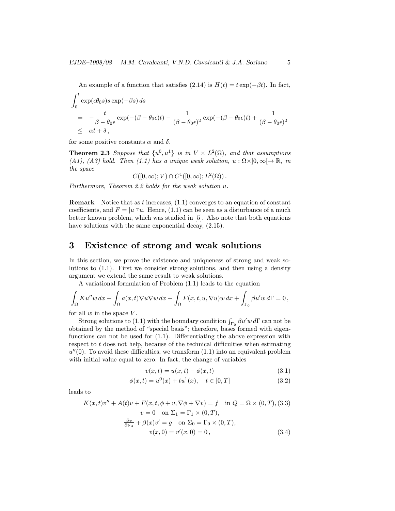An example of a function that satisfies (2.14) is  $H(t) = t \exp(-\beta t)$ . In fact,

$$
\int_0^t \exp(\epsilon \theta_0 s) s \exp(-\beta s) ds
$$
\n
$$
= -\frac{t}{\beta - \theta_0 \epsilon} \exp(-(\beta - \theta_0 \epsilon)t) - \frac{1}{(\beta - \theta_0 \epsilon)^2} \exp(-(\beta - \theta_0 \epsilon)t) + \frac{1}{(\beta - \theta_0 \epsilon)^2}
$$
\n
$$
\leq \alpha t + \delta,
$$

for some positive constants  $\alpha$  and  $\delta$ .

**Theorem 2.3** Suppose that  $\{u^0, u^1\}$  is in  $V \times L^2(\Omega)$ , and that assumptions (A1), (A3) hold. Then (1.1) has a unique weak solution,  $u : \Omega \times ]0, \infty[ \rightarrow \mathbb{R}$ , in the space

$$
C([0,\infty);V)\cap C^1([0,\infty);L^2(\Omega)).
$$

Furthermore, Theorem 2.2 holds for the weak solution u.

**Remark** Notice that as t increases,  $(1.1)$  converges to an equation of constant coefficients, and  $F = |u|^\gamma u$ . Hence, (1.1) can be seen as a disturbance of a much better known problem, which was studied in [5]. Also note that both equations have solutions with the same exponential decay,  $(2.15)$ .

## 3 Existence of strong and weak solutions

In this section, we prove the existence and uniqueness of strong and weak solutions to (1.1). First we consider strong solutions, and then using a density argument we extend the same result to weak solutions.

A variational formulation of Problem (1.1) leads to the equation

$$
\int_{\Omega} Ku''w dx + \int_{\Omega} a(x,t) \nabla u \nabla w dx + \int_{\Omega} F(x,t,u, \nabla u) w dx + \int_{\Gamma_0} \beta u' w d\Gamma = 0,
$$

for all  $w$  in the space  $V$ .

Strong solutions to (1.1) with the boundary condition  $\int_{\Gamma_0} \beta u' w d\Gamma$  can not be obtained by the method of "special basis"; therefore, bases formed with eigenfunctions can not be used for (1.1). Differentiating the above expression with respect to  $t$  does not help, because of the technical difficulties when estimating  $u''(0)$ . To avoid these difficulties, we transform  $(1.1)$  into an equivalent problem with initial value equal to zero. In fact, the change of variables

$$
v(x,t) = u(x,t) - \phi(x,t)
$$
\n(3.1)

$$
\phi(x,t) = u^0(x) + tu^1(x), \quad t \in [0,T] \tag{3.2}
$$

leads to

$$
K(x,t)v'' + A(t)v + F(x, t, \phi + v, \nabla \phi + \nabla v) = f \text{ in } Q = \Omega \times (0, T), (3.3)
$$
  
\n
$$
v = 0 \text{ on } \Sigma_1 = \Gamma_1 \times (0, T),
$$
  
\n
$$
\frac{\partial v}{\partial \nu_A} + \beta(x)v' = g \text{ on } \Sigma_0 = \Gamma_0 \times (0, T),
$$
  
\n
$$
v(x, 0) = v'(x, 0) = 0,
$$
 (3.4)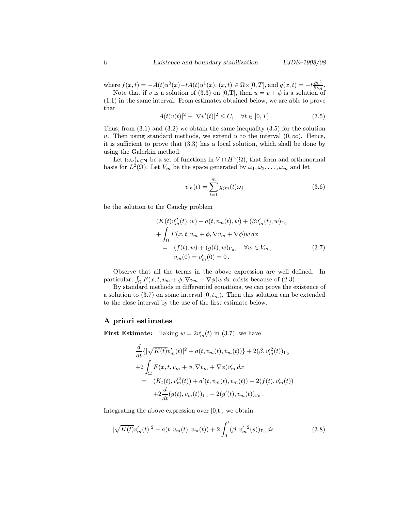where  $f(x,t) = -A(t)u^{0}(x) - tA(t)u^{1}(x), (x,t) \in \Omega \times [0,T]$ , and  $g(x,t) = -t \frac{\partial u^{1}}{\partial \nu_{A}}$ . Note that if v is a solution of (3.3) on [0,T], then  $u = v + \phi$  is a solution of

(1.1) in the same interval. From estimates obtained below, we are able to prove that

$$
|A(t)v(t)|^2 + |\nabla v'(t)|^2 \le C, \quad \forall t \in [0, T]. \tag{3.5}
$$

Thus, from (3.1) and (3.2) we obtain the same inequality (3.5) for the solution u. Then using standard methods, we extend u to the interval  $(0, \infty)$ . Hence, it is sufficient to prove that (3.3) has a local solution, which shall be done by using the Galerkin method.

Let  $(\omega_{\nu})_{\nu \in \mathbf{N}}$  be a set of functions in  $V \cap H^2(\Omega)$ , that form and orthonormal basis for  $L^2(\Omega)$ . Let  $V_m$  be the space generated by  $\omega_1, \omega_2, \ldots, \omega_m$  and let

$$
v_m(t) = \sum_{i=1}^{m} g_{jm}(t)\omega_j
$$
\n(3.6)

be the solution to the Cauchy problem

$$
(K(t)v''_m(t), w) + a(t, v_m(t), w) + (\beta v'_m(t), w)_{\Gamma_0}
$$
  
+ 
$$
\int_{\Omega} F(x, t, v_m + \phi, \nabla v_m + \nabla \phi) w \, dx
$$
  
= 
$$
(f(t), w) + (g(t), w)_{\Gamma_0}, \quad \forall w \in V_m,
$$
  

$$
v_m(0) = v'_m(0) = 0.
$$
 (3.7)

Observe that all the terms in the above expression are well defined. In particular,  $\int_{\Omega} F(x, t, v_m + \phi, \nabla v_m + \nabla \phi) w \, dx$  exists because of (2.3).

By standard methods in differential equations, we can prove the existence of a solution to (3.7) on some interval  $[0, t<sub>m</sub>)$ . Then this solution can be extended to the close interval by the use of the first estimate below.

## A priori estimates

**First Estimate:** Taking  $w = 2v'_m(t)$  in (3.7), we have

$$
\frac{d}{dt}\{|\sqrt{K(t)}v'_{m}(t)|^{2} + a(t, v_{m}(t), v_{m}(t))\} + 2(\beta, v'^{2}_{m}(t))\}_{\Gamma_{0}}\n+2\int_{\Omega} F(x, t, v_{m} + \phi, \nabla v_{m} + \nabla \phi)v'_{m} dx\n= (K_{t}(t), v'^{2}_{m}(t)) + a'(t, v_{m}(t), v_{m}(t)) + 2(f(t), v'_{m}(t))\n+2\frac{d}{dt}(g(t), v_{m}(t))_{\Gamma_{0}} - 2(g'(t), v_{m}(t))_{\Gamma_{0}}.
$$

Integrating the above expression over  $[0,t]$ , we obtain

$$
|\sqrt{K(t)}v'_{m}(t)|^{2} + a(t,v_{m}(t),v_{m}(t)) + 2\int_{0}^{t}(\beta, v'_{m}^{2}(s))\Gamma_{0} ds
$$
\n(3.8)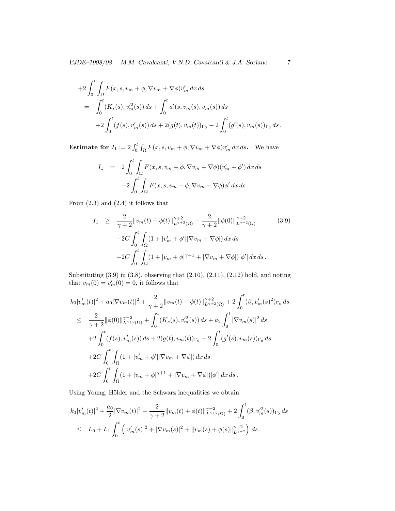EJDE–1998/08 M.M. Cavalcanti, V.N.D. Cavalcanti & J.A. Soriano 7

+2 
$$
\int_0^t \int_{\Omega} F(x, s, v_m + \phi, \nabla v_m + \nabla \phi) v'_m dx ds
$$
  
\n= $\int_0^t (K_s(s), v'^2_m(s)) ds + \int_0^t a'(s, v_m(s), v_m(s)) ds$   
\n+2  $\int_0^t (f(s), v'_m(s)) ds + 2(g(t), v_m(t))_{\Gamma_0} - 2 \int_0^t (g'(s), v_m(s))_{\Gamma_0} ds$ .

**Estimate for**  $I_1 := 2 \int_0^t \int_{\Omega} F(x, s, v_m + \phi, \nabla v_m + \nabla \phi) v'_m dx ds$ . We have

$$
I_1 = 2 \int_0^t \int_{\Omega} F(x, s, v_m + \phi, \nabla v_m + \nabla \phi)(v'_m + \phi') dx ds
$$

$$
-2 \int_0^t \int_{\Omega} F(x, s, v_m + \phi, \nabla v_m + \nabla \phi) \phi' dx ds.
$$

From  $(2.3)$  and  $(2.4)$  it follows that

$$
I_{1} \geq \frac{2}{\gamma+2} \|v_{m}(t) + \phi(t)\|_{L^{\gamma+2}(\Omega)}^{\gamma+2} - \frac{2}{\gamma+2} \|\phi(0)\|_{L^{\gamma+2}(\Omega)}^{\gamma+2} \qquad (3.9)
$$

$$
-2C \int_{0}^{t} \int_{\Omega} (1 + |v'_{m} + \phi'| |\nabla v_{m} + \nabla \phi|) dx ds
$$

$$
-2C \int_{0}^{t} \int_{\Omega} (1 + |v_{m} + \phi|^{\gamma+1} + |\nabla v_{m} + \nabla \phi|) |\phi'| dx ds.
$$

Substituting (3.9) in (3.8), observing that (2.10), (2.11), (2.12) hold, and noting that  $v_m(0) = v'_m(0) = 0$ , it follows that

$$
k_0|v'_m(t)|^2 + a_0|\nabla v_m(t)|^2 + \frac{2}{\gamma+2}||v_m(t) + \phi(t)||_{L^{\gamma+2}(\Omega)}^{\gamma+2} + 2\int_0^t (\beta, v'_m(s)^2)_{\Gamma_0} ds
$$
  
\n
$$
\leq \frac{2}{\gamma+2}||\phi(0)||_{L^{\gamma+2}(\Omega)}^{\gamma+2} + \int_0^t (K_s(s), v'^2_m(s)) ds + a_2 \int_0^t |\nabla v_m(s)|^2 ds
$$
  
\n
$$
+ 2\int_0^t (f(s), v'_m(s)) ds + 2(g(t), v_m(t))_{\Gamma_0} - 2\int_0^t (g'(s), v_m(s))_{\Gamma_0} ds
$$
  
\n
$$
+ 2C \int_0^t \int_{\Omega} (1 + |v'_m + \phi'| |\nabla v_m + \nabla \phi|) dx ds
$$
  
\n
$$
+ 2C \int_0^t \int_{\Omega} (1 + |v_m + \phi|^{\gamma+1} + |\nabla v_m + \nabla \phi|) |\phi'| dx ds.
$$

Using Young, Hölder and the Schwarz inequalities we obtain

$$
k_0|v'_m(t)|^2 + \frac{a_0}{2} |\nabla v_m(t)|^2 + \frac{2}{\gamma + 2} ||v_m(t) + \phi(t)||_{L^{\gamma+2}(\Omega)}^{\gamma+2} + 2 \int_0^t (\beta, v'_m(s))_{\Gamma_0} ds
$$
  
\n
$$
\leq L_0 + L_1 \int_0^t \left( |v'_m(s)|^2 + |\nabla v_m(s)|^2 + ||v_m(s) + \phi(s)||_{L^{\gamma+2}}^{\gamma+2} \right) ds.
$$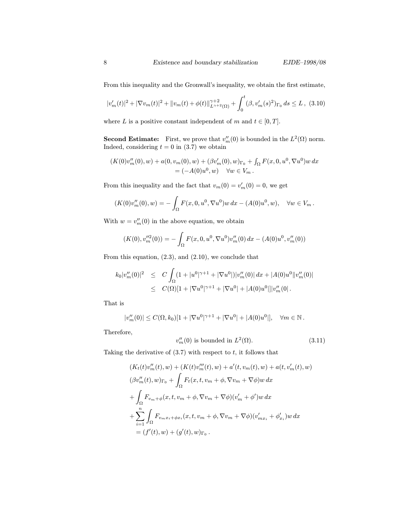From this inequality and the Gronwall's inequality, we obtain the first estimate,

$$
|v'_{m}(t)|^{2} + |\nabla v_{m}(t)|^{2} + ||v_{m}(t) + \phi(t)||_{L^{\gamma+2}(\Omega)}^{\gamma+2} + \int_{0}^{t} (\beta, v'_{m}(s)^{2})_{\Gamma_{0}} ds \le L , (3.10)
$$

where L is a positive constant independent of m and  $t \in [0, T]$ .

**Second Estimate:** First, we prove that  $v''_m(0)$  is bounded in the  $L^2(\Omega)$  norm. Indeed, considering  $t = 0$  in (3.7) we obtain

$$
(K(0)v''_m(0), w) + a(0, v_m(0), w) + (\beta v'_m(0), w)_{\Gamma_0} + \int_{\Omega} F(x, 0, u^0, \nabla u^0) w dx
$$
  
=  $(-A(0)u^0, w) \quad \forall w \in V_m.$ 

From this inequality and the fact that  $v_m(0) = v'_m(0) = 0$ , we get

$$
(K(0)v''_m(0), w) = -\int_{\Omega} F(x, 0, u^0, \nabla u^0) w \, dx - (A(0)u^0, w), \quad \forall w \in V_m.
$$

With  $w = v_m''(0)$  in the above equation, we obtain

$$
(K(0), v_m''^{2}(0)) = -\int_{\Omega} F(x, 0, u^{0}, \nabla u^{0}) v_m''(0) dx - (A(0)u^{0}, v_m''(0))
$$

From this equation,  $(2.3)$ , and  $(2.10)$ , we conclude that

$$
k_0|v_m''(0)|^2 \leq C \int_{\Omega} (1+|u^0|^{\gamma+1}+|\nabla u^0|)|v_m''(0)| dx + |A(0)u^0||v_m''(0)|
$$
  
 
$$
\leq C(\Omega)[1+|\nabla u^0|^{\gamma+1}+|\nabla u^0|+|A(0)u^0|] |v_m''(0|.
$$

That is

$$
|v_m''(0)| \le C(\Omega, k_0)[1 + |\nabla u^0|^{\gamma+1} + |\nabla u^0| + |A(0)u^0|], \quad \forall m \in \mathbb{N}.
$$

Therefore,

$$
v_m''(0) \text{ is bounded in } L^2(\Omega). \tag{3.11}
$$

Taking the derivative of  $(3.7)$  with respect to  $t$ , it follows that

$$
(K_t(t)v_m''(t), w) + (K(t)v_m''(t), w) + a'(t, v_m(t), w) + a(t, v_m'(t), w)
$$
  
\n
$$
(\beta v_m''(t), w)_{\Gamma_0} + \int_{\Omega} F_t(x, t, v_m + \phi, \nabla v_m + \nabla \phi) w \, dx
$$
  
\n
$$
+ \int_{\Omega} F_{v_m + \phi}(x, t, v_m + \phi, \nabla v_m + \nabla \phi)(v_m' + \phi') w \, dx
$$
  
\n
$$
+ \sum_{i=1}^n \int_{\Omega} F_{v_m x_i + \phi x_i}(x, t, v_m + \phi, \nabla v_m + \nabla \phi)(v_{mx_i}' + \phi_{x_i}') w \, dx
$$
  
\n
$$
= (f'(t), w) + (g'(t), w)_{\Gamma_0}.
$$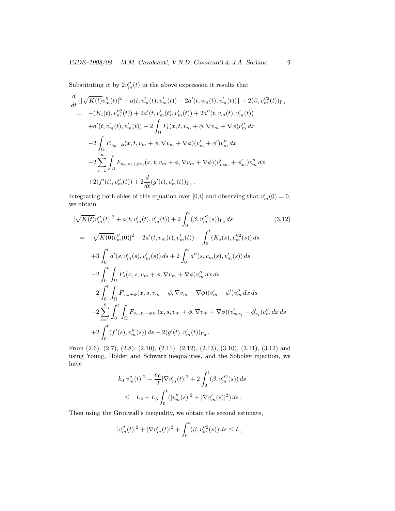Substituting w by  $2v''_m(t)$  in the above expression it results that

$$
\frac{d}{dt}\{|\sqrt{K(t)}v''_m(t)|^2 + a(t, v'_m(t), v'_m(t)) + 2a'(t, v_m(t), v'_m(t))\} + 2(\beta, v''_m(t))\Gamma_0
$$
\n
$$
= -(K_t(t), v'''_m(t)) + 2a'(t, v'_m(t), v'_m(t)) + 2a''(t, v_m(t), v'_m(t))
$$
\n
$$
+ a'(t, v'_m(t), v'_m(t)) - 2\int_{\Omega} F_t(x, t, v_m + \phi, \nabla v_m + \nabla \phi)v''_m dx
$$
\n
$$
-2\int_{\Omega} F_{v_m+\phi}(x, t, v_m + \phi, \nabla v_m + \nabla \phi)(v'_m + \phi')v''_m dx
$$
\n
$$
-2\sum_{i=1}^n \int_{\Omega} F_{v_m x_i + \phi x_i}(x, t, v_m + \phi, \nabla v_m + \nabla \phi)(v'_{mx_i} + \phi'_{x_i})v''_m dx
$$
\n
$$
+2(f'(t), v''_m(t)) + 2\frac{d}{dt}(g'(t), v'_m(t))\Gamma_0.
$$

Integrating both sides of this equation over [0,t] and observing that  $v'_m(0) = 0$ , we obtain

$$
|\sqrt{K(t)}v''_m(t)|^2 + a(t, v'_m(t), v'_m(t)) + 2 \int_0^t (\beta, v''_m^{2}(s))\Gamma_0 ds
$$
\n
$$
= |\sqrt{K(0)}v''_m(0)|^2 - 2a'(t, v_m(t), v'_m(t)) - \int_0^t (K_s(s), v''_m^{2}(s)) ds
$$
\n
$$
+ 3 \int_0^t a'(s, v'_m(s), v'_m(s)) ds + 2 \int_0^t a''(s, v_m(s), v'_m(s)) ds
$$
\n
$$
- 2 \int_0^t \int_{\Omega} F_s(x, s, v_m + \phi, \nabla v_m + \nabla \phi)v''_m dx ds
$$
\n
$$
- 2 \int_0^t \int_{\Omega} F_{v_m+\phi}(x, s, v_m + \phi, \nabla v_m + \nabla \phi)(v'_m + \phi')v''_m dx ds
$$
\n
$$
- 2 \sum_{i=1}^n \int_0^t \int_{\Omega} F_{v_m x_i + \phi x_i}(x, s, v_m + \phi, \nabla v_m + \nabla \phi)(v'_{mx_i} + \phi'_{x_i})v''_m dx ds
$$
\n
$$
+ 2 \int_0^t (f'(s), v''_m(s)) ds + 2(g'(t), v'_m(t))\Gamma_0.
$$
\n(3.12)

From (2.6), (2.7), (2.8), (2.10), (2.11), (2.12), (2.13), (3.10), (3.11), (3.12) and using Young, Hölder and Schwarz inequalities, and the Sobolev injection, we have

$$
k_0|v_m''(t)|^2 + \frac{a_0}{2} |\nabla v_m'(t)|^2 + 2 \int_0^t (\beta, v_m''^2(s)) ds
$$
  

$$
\leq L_2 + L_3 \int_0^t (|v_m''(s)|^2 + |\nabla v_m'(s)|^2) ds.
$$

Then using the Gronwall's inequality, we obtain the second estimate,

$$
|v_m''(t)|^2 + |\nabla v_m'(t)|^2 + \int_0^t (\beta, v_m''(s)) ds \le L,
$$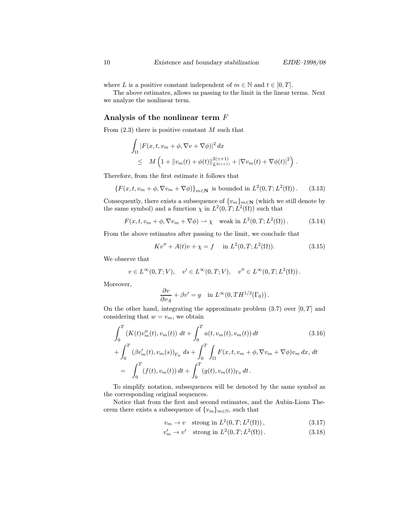where L is a positive constant independent of  $m \in \mathbb{N}$  and  $t \in [0, T]$ .

The above estimates, allows us passing to the limit in the linear terms. Next we analyze the nonlinear term.

## Analysis of the nonlinear term F

From  $(2.3)$  there is positive constant M such that

$$
\int_{\Omega} |F(x, t, v_m + \phi, \nabla v + \nabla \phi)|^2 dx
$$
  
\n
$$
\leq M \left( 1 + ||v_m(t) + \phi(t)||_{L^{2(\gamma+1)}}^{2(\gamma+1)} + |\nabla v_m(t) + \nabla \phi(t)|^2 \right).
$$

Therefore, from the first estimate it follows that

$$
\{F(x,t,v_m+\phi,\nabla v_m+\nabla\phi)\}_{m\in\mathbf{N}}\text{ is bounded in }L^2(0,T;L^2(\Omega))\,.
$$
 (3.13)

Consequently, there exists a subsequence of  $\{v_m\}_{m\in\mathbb{N}}$  (which we still denote by the same symbol) and a function  $\chi$  in  $L^2(0,T;L^2(\Omega))$  such that

$$
F(x,t,v_m+\phi,\nabla v_m+\nabla\phi)\rightharpoonup\chi\quad\text{weak in }L^2(0,T;L^2(\Omega))\,.
$$
 (3.14)

From the above estimates after passing to the limit, we conclude that

$$
Kv'' + A(t)v + \chi = f
$$
 in  $L^2(0, T; L^2(\Omega))$ . (3.15)

We observe that

$$
v \in L^{\infty}(0,T;V), \quad v' \in L^{\infty}(0,T;V), \quad v'' \in L^{\infty}(0,T;L^{2}(\Omega)).
$$

Moreover,

$$
\frac{\partial v}{\partial \nu_A} + \beta v' = g \quad \text{in } L^{\infty}(0, TH^{1/2}(\Gamma_0)).
$$

On the other hand, integrating the approximate problem  $(3.7)$  over  $[0, T]$  and considering that  $w = v_m$ , we obtain

$$
\int_{0}^{T} (K(t)v''_{m}(t), v_{m}(t)) dt + \int_{0}^{T} a(t, v_{m}(t), v_{m}(t)) dt
$$
\n
$$
+ \int_{0}^{T} (\beta v'_{m}(t), v_{m}(s))_{\Gamma_{0}} ds + \int_{0}^{T} \int_{\Omega} F(x, t, v_{m} + \phi, \nabla v_{m} + \nabla \phi) v_{m} dx, dt
$$
\n
$$
= \int_{0}^{T} (f(t), v_{m}(t)) dt + \int_{0}^{T} (g(t), v_{m}(t))_{\Gamma_{0}} dt.
$$
\n(3.16)

To simplify notation, subsequences will be denoted by the same symbol as the corresponding original sequences.

Notice that from the first and second estimates, and the Aubin-Lions Theorem there exists a subsequence of  $\{v_m\}_{m\in\mathbb{N}}$ , such that

$$
v_m \to v \quad \text{strong in } L^2(0, T; L^2(\Omega)), \tag{3.17}
$$

$$
v'_m \to v' \quad \text{strong in } L^2(0, T; L^2(\Omega)). \tag{3.18}
$$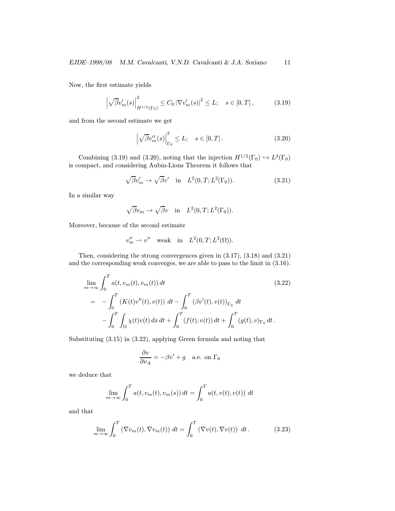Now, the first estimate yields

$$
\left|\sqrt{\beta}v'_{m}(s)\right|_{H^{1/2}(\Gamma_{0})}^{2} \le C_{0} \left|\nabla v'_{m}(s)\right|^{2} \le L; \quad s \in [0, T], \tag{3.19}
$$

and from the second estimate we get

$$
\left|\sqrt{\beta}v''_m(s)\right|^2_{\Gamma_0} \le L; \quad s \in [0, T]. \tag{3.20}
$$

Combining (3.19) and (3.20), noting that the injection  $H^{1/2}(\Gamma_0) \hookrightarrow L^2(\Gamma_0)$ is compact, and considering Aubin-Lions Theorem it follows that

$$
\sqrt{\beta}v'_m \to \sqrt{\beta}v' \quad \text{in} \quad L^2(0,T;L^2(\Gamma_0)).\tag{3.21}
$$

In a similar way

$$
\sqrt{\beta}v_m \to \sqrt{\beta}v
$$
 in  $L^2(0,T;L^2(\Gamma_0))$ .

Moreover, because of the second estimate

$$
v_m^{\prime\prime} \rightharpoonup v^{\prime\prime} \quad \text{weak} \quad \text{in} \quad L^2(0,T;L^2(\Omega)).
$$

Then, considering the strong convergences given in (3.17), (3.18) and (3.21) and the corresponding weak converges, we are able to pass to the limit in (3.16).

$$
\lim_{m \to \infty} \int_0^T a(t, v_m(t), v_m(t)) dt
$$
\n
$$
= - \int_0^T (K(t)v''(t), v(t)) dt - \int_0^T (\beta v'(t), v(t))_{\Gamma_0} dt
$$
\n
$$
- \int_0^T \int_{\Omega} \chi(t)v(t) dx dt + \int_0^T (f(t), v(t)) dt + \int_0^T (g(t), v)_{\Gamma_0} dt.
$$
\n(3.22)

Substituting (3.15) in (3.22), applying Green formula and noting that

$$
\frac{\partial v}{\partial \nu_A} = -\beta v' + g \quad \text{a.e. on } \Gamma_0
$$

we deduce that

$$
\lim_{m \to \infty} \int_0^T a(t, v_m(t), v_m(s)) dt = \int_0^T a(t, v(t), v(t)) dt
$$

and that

$$
\lim_{m \to \infty} \int_0^T \left( \nabla v_m(t), \nabla v_m(t) \right) dt = \int_0^T \left( \nabla v(t), \nabla v(t) \right) dt.
$$
 (3.23)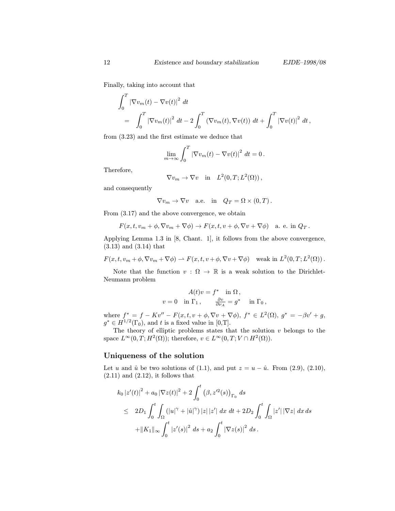Finally, taking into account that

$$
\int_0^T |\nabla v_m(t) - \nabla v(t)|^2 dt \n= \int_0^T |\nabla v_m(t)|^2 dt - 2 \int_0^T (\nabla v_m(t), \nabla v(t)) dt + \int_0^T |\nabla v(t)|^2 dt,
$$

from (3.23) and the first estimate we deduce that

$$
\lim_{m\to\infty}\int_0^T \left|\nabla v_m(t)-\nabla v(t)\right|^2 dt=0.
$$

Therefore,

$$
\nabla v_m \to \nabla v \quad \text{in} \quad L^2(0,T;L^2(\Omega)),
$$

and consequently

$$
\nabla v_m \to \nabla v
$$
 a.e. in  $Q_T = \Omega \times (0, T)$ .

From (3.17) and the above convergence, we obtain

$$
F(x,t,v_m+\phi,\nabla v_m+\nabla\phi)\to F(x,t,v+\phi,\nabla v+\nabla\phi)
$$
 a. e. in  $Q_T$ .

Applying Lemma 1.3 in [8, Chant. 1], it follows from the above convergence, (3.13) and (3.14) that

$$
F(x,t,v_m+\phi,\nabla v_m+\nabla\phi)\rightharpoonup F(x,t,v+\phi,\nabla v+\nabla\phi) \quad \text{weak in } L^2(0,T;L^2(\Omega))\,.
$$

Note that the function  $v : \Omega \to \mathbb{R}$  is a weak solution to the Dirichlet-Neumann problem

$$
A(t)v = f^* \text{ in } \Omega, v = 0 \text{ in } \Gamma_1, \qquad \frac{\partial v}{\partial \nu_A} = g^* \text{ in } \Gamma_0,
$$

where  $f^* = f - Kv'' - F(x, t, v + \phi, \nabla v + \nabla \phi)$ ,  $f^* \in L^2(\Omega)$ ,  $g^* = -\beta v' + g$ ,  $g^* \in H^{1/2}(\Gamma_0)$ , and t is a fixed value in [0,T].

The theory of elliptic problems states that the solution  $v$  belongs to the space  $L^{\infty}(0, T; H^2(\Omega))$ ; therefore,  $v \in L^{\infty}(0, T; V \cap H^2(\Omega))$ .

### Uniqueness of the solution

Let u and  $\hat{u}$  be two solutions of (1.1), and put  $z = u - \hat{u}$ . From (2.9), (2.10),  $(2.11)$  and  $(2.12)$ , it follows that

$$
k_0 |z'(t)|^2 + a_0 |\nabla z(t)|^2 + 2 \int_0^t (\beta, z'^2(s))_{\Gamma_0} ds
$$
  
\n
$$
\leq 2D_1 \int_0^t \int_{\Omega} (|u|^\gamma + |\hat{u}|^\gamma) |z| |z'| dx dt + 2D_2 \int_0^t \int_{\Omega} |z'| |\nabla z| dx ds
$$
  
\n
$$
+ ||K_1||_{\infty} \int_0^t |z'(s)|^2 ds + a_2 \int_0^t |\nabla z(s)|^2 ds.
$$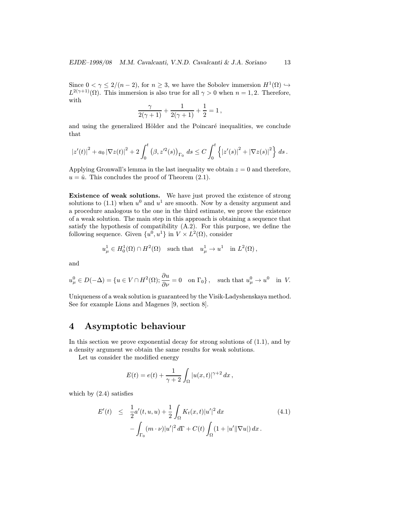Since  $0 < \gamma \leq 2/(n-2)$ , for  $n \geq 3$ , we have the Sobolev immersion  $H^1(\Omega) \hookrightarrow$  $L^{2(\gamma+1)}(\Omega)$ . This immersion is also true for all  $\gamma > 0$  when  $n = 1, 2$ . Therefore, with

$$
\frac{\gamma}{2(\gamma+1)} + \frac{1}{2(\gamma+1)} + \frac{1}{2} = 1,
$$

and using the generalized Hölder and the Poincaré inequalities, we conclude that

$$
|z'(t)|^2 + a_0 |\nabla z(t)|^2 + 2 \int_0^t (\beta, z'^2(s))_{\Gamma_0} ds \leq C \int_0^t \left\{ |z'(s)|^2 + |\nabla z(s)|^2 \right\} ds.
$$

Applying Gronwall's lemma in the last inequality we obtain  $z = 0$  and therefore,  $u = \hat{u}$ . This concludes the proof of Theorem (2.1).

Existence of weak solutions. We have just proved the existence of strong solutions to (1.1) when  $u^0$  and  $u^1$  are smooth. Now by a density argument and a procedure analogous to the one in the third estimate, we prove the existence of a weak solution. The main step in this approach is obtaining a sequence that satisfy the hypothesis of compatibility  $(A.2)$ . For this purpose, we define the following sequence. Given  $\{u^0, u^1\}$  in  $V \times L^2(\Omega)$ , consider

$$
u^1_\mu \in H_0^1(\Omega) \cap H^2(\Omega)
$$
 such that  $u^1_\mu \to u^1$  in  $L^2(\Omega)$ ,

and

$$
u^0_\mu\in D(-\Delta)=\{u\in V\cap H^2(\Omega); \frac{\partial u}{\partial \nu}=0\quad \text{on }\Gamma_0\}\,,\quad \text{such that } u^0_\mu\to u^0\quad \text{in } V.
$$

Uniqueness of a weak solution is guaranteed by the Visik-Ladyshenskaya method. See for example Lions and Magenes [9, section 8].

# 4 Asymptotic behaviour

In this section we prove exponential decay for strong solutions of (1.1), and by a density argument we obtain the same results for weak solutions.

Let us consider the modified energy

$$
E(t) = e(t) + \frac{1}{\gamma + 2} \int_{\Omega} |u(x, t)|^{\gamma + 2} dx,
$$

which by  $(2.4)$  satisfies

$$
E'(t) \leq \frac{1}{2}a'(t, u, u) + \frac{1}{2} \int_{\Omega} K_t(x, t)|u'|^2 dx
$$
  
 
$$
- \int_{\Gamma_0} (m \cdot \nu)|u'|^2 d\Gamma + C(t) \int_{\Omega} (1 + |u'||\nabla u|) dx.
$$
 (4.1)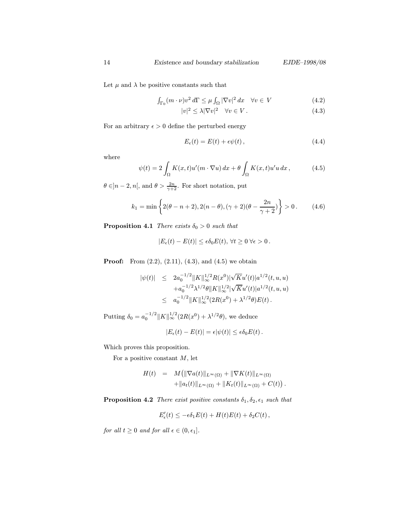Let  $\mu$  and  $\lambda$  be positive constants such that

$$
\int_{\Gamma_0} (m \cdot \nu) v^2 d\Gamma \le \mu \int_{\Omega} |\nabla v|^2 dx \quad \forall v \in V \tag{4.2}
$$

$$
|v|^2 \le \lambda |\nabla v|^2 \quad \forall v \in V. \tag{4.3}
$$

For an arbitrary  $\epsilon > 0$  define the perturbed energy

$$
E_{\epsilon}(t) = E(t) + \epsilon \psi(t), \qquad (4.4)
$$

where

$$
\psi(t) = 2 \int_{\Omega} K(x, t) u'(m \cdot \nabla u) dx + \theta \int_{\Omega} K(x, t) u' u dx, \qquad (4.5)
$$

 $\theta \in ]n-2, n[$ , and  $\theta > \frac{2n}{\gamma+2}$ . For short notation, put

$$
k_1 = \min\left\{2(\theta - n + 2), 2(n - \theta), (\gamma + 2)(\theta - \frac{2n}{\gamma + 2})\right\} > 0. \tag{4.6}
$$

**Proposition 4.1** There exists  $\delta_0 > 0$  such that

$$
|E_{\epsilon}(t) - E(t)| \leq \epsilon \delta_0 E(t), \forall t \geq 0 \,\forall \epsilon > 0.
$$

**Proof:** From  $(2.2)$ ,  $(2.11)$ ,  $(4.3)$ , and  $(4.5)$  we obtain

$$
\begin{array}{lcl} |\psi(t)| & \leq & 2 a_0^{-1/2} \| K \|_\infty^{1/2} R(x^0) |\sqrt{K} u'(t)| a^{1/2}(t,u,u) \\ & & + a_0^{-1/2} \lambda^{1/2} \theta \| K \|_\infty^{1/2} |\sqrt{K} u'(t)| a^{1/2}(t,u,u) \\ & \leq & a_0^{-1/2} \| K \|_\infty^{1/2} (2R(x^0) + \lambda^{1/2} \theta) E(t) \, . \end{array}
$$

Putting  $\delta_0 = a_0^{-1/2} ||K||_{\infty}^{1/2} (2R(x^0) + \lambda^{1/2} \theta)$ , we deduce

$$
|E_{\epsilon}(t) - E(t)| = \epsilon |\psi(t)| \leq \epsilon \delta_0 E(t).
$$

Which proves this proposition.

For a positive constant  $M$ , let

$$
H(t) = M(||\nabla a(t)||_{L^{\infty}(\Omega)} + ||\nabla K(t)||_{L^{\infty}(\Omega)} + ||a_t(t)||_{L^{\infty}(\Omega)} + ||K_t(t)||_{L^{\infty}(\Omega)} + C(t)).
$$

**Proposition 4.2** There exist positive constants  $\delta_1, \delta_2, \epsilon_1$  such that

$$
E'_{\epsilon}(t) \leq -\epsilon \delta_1 E(t) + H(t)E(t) + \delta_2 C(t),
$$

for all  $t \geq 0$  and for all  $\epsilon \in (0, \epsilon_1]$ .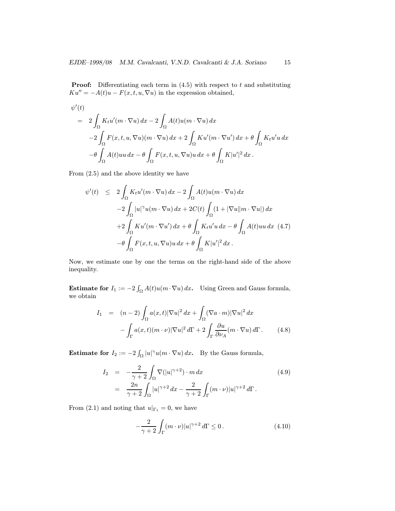**Proof:** Differentiating each term in  $(4.5)$  with respect to t and substituting  $Ku'' = -A(t)u - F(x, t, u, \nabla u)$  in the expression obtained,

$$
\psi'(t) = 2 \int_{\Omega} K_t u'(m \cdot \nabla u) dx - 2 \int_{\Omega} A(t) u(m \cdot \nabla u) dx
$$
  

$$
-2 \int_{\Omega} F(x, t, u, \nabla u)(m \cdot \nabla u) dx + 2 \int_{\Omega} K u'(m \cdot \nabla u') dx + \theta \int_{\Omega} K_t u' u dx
$$
  

$$
-\theta \int_{\Omega} A(t) u u dx - \theta \int_{\Omega} F(x, t, u, \nabla u) u dx + \theta \int_{\Omega} K |u'|^2 dx.
$$

From (2.5) and the above identity we have

$$
\psi'(t) \leq 2 \int_{\Omega} K_t u'(m \cdot \nabla u) dx - 2 \int_{\Omega} A(t) u(m \cdot \nabla u) dx
$$
  

$$
-2 \int_{\Omega} |u|^{\gamma} u(m \cdot \nabla u) dx + 2C(t) \int_{\Omega} (1 + |\nabla u||m \cdot \nabla u|) dx
$$
  

$$
+2 \int_{\Omega} K u'(m \cdot \nabla u') dx + \theta \int_{\Omega} K_t u' u dx - \theta \int_{\Omega} A(t) u u dx \quad (4.7)
$$
  

$$
-\theta \int_{\Omega} F(x, t, u, \nabla u) u dx + \theta \int_{\Omega} K|u'|^2 dx.
$$

Now, we estimate one by one the terms on the right-hand side of the above inequality.

**Estimate for**  $I_1 := -2 \int_{\Omega} A(t) u(m \cdot \nabla u) dx$ . Using Green and Gauss formula, we obtain

$$
I_1 = (n-2) \int_{\Omega} a(x,t) |\nabla u|^2 dx + \int_{\Omega} (\nabla a \cdot m) |\nabla u|^2 dx
$$

$$
- \int_{\Gamma} a(x,t) (m \cdot \nu) |\nabla u|^2 d\Gamma + 2 \int_{\Gamma} \frac{\partial u}{\partial \nu_A} (m \cdot \nabla u) d\Gamma. \qquad (4.8)
$$

**Estimate for**  $I_2 := -2 \int_{\Omega} |u|^{\gamma} u(m \cdot \nabla u) dx$ . By the Gauss formula,

$$
I_2 = -\frac{2}{\gamma + 2} \int_{\Omega} \nabla (|u|^{\gamma + 2}) \cdot m \, dx
$$
\n
$$
= \frac{2n}{\gamma + 2} \int_{\Omega} |u|^{\gamma + 2} \, dx - \frac{2}{\gamma + 2} \int_{\Gamma} (m \cdot \nu) |u|^{\gamma + 2} \, d\Gamma.
$$
\n(4.9)

From (2.1) and noting that  $u|_{\Gamma_1} = 0$ , we have

$$
-\frac{2}{\gamma+2}\int_{\Gamma}(m\cdot\nu)|u|^{\gamma+2}d\Gamma\leq 0.\tag{4.10}
$$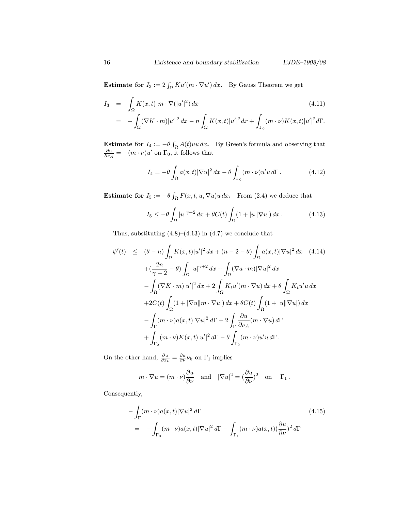**Estimate for**  $I_3 := 2 \int_{\Omega} K u'(m \cdot \nabla u') dx$ . By Gauss Theorem we get

$$
I_3 = \int_{\Omega} K(x,t) \, m \cdot \nabla(|u'|^2) \, dx \tag{4.11}
$$
\n
$$
= - \int_{\Omega} (\nabla K \cdot m) |u'|^2 \, dx - n \int_{\Omega} K(x,t) |u'|^2 \, dx + \int_{\Gamma_0} (m \cdot \nu) K(x,t) |u'|^2 \, d\Gamma.
$$

**Estimate for**  $I_4 := -\theta \int_{\Omega} A(t)uu \, dx$ . By Green's formula and observing that  $\frac{\partial u}{\partial \nu_A} = -(m \cdot \nu)u'$  on  $\Gamma_0$ , it follows that

$$
I_4 = -\theta \int_{\Omega} a(x, t) |\nabla u|^2 dx - \theta \int_{\Gamma_0} (m \cdot \nu) u' u d\Gamma.
$$
 (4.12)

**Estimate for**  $I_5 := -\theta \int_{\Omega} F(x, t, u, \nabla u) u \, dx$ . From (2.4) we deduce that

$$
I_5 \le -\theta \int_{\Omega} |u|^{\gamma+2} \, dx + \theta C(t) \int_{\Omega} (1 + |u| |\nabla u|) \, dx. \tag{4.13}
$$

Thus, substituting  $(4.8)$ – $(4.13)$  in  $(4.7)$  we conclude that

$$
\psi'(t) \leq (\theta - n) \int_{\Omega} K(x, t) |u'|^2 dx + (n - 2 - \theta) \int_{\Omega} a(x, t) |\nabla u|^2 dx \quad (4.14)
$$

$$
+ \left(\frac{2n}{\gamma + 2} - \theta\right) \int_{\Omega} |u|^{\gamma + 2} dx + \int_{\Omega} (\nabla a \cdot m) |\nabla u|^2 dx
$$

$$
- \int_{\Omega} (\nabla K \cdot m) |u'|^2 dx + 2 \int_{\Omega} K_t u'(m \cdot \nabla u) dx + \theta \int_{\Omega} K_t u' u dx
$$

$$
+ 2C(t) \int_{\Omega} (1 + |\nabla u| |m \cdot \nabla u|) dx + \theta C(t) \int_{\Omega} (1 + |u| |\nabla u|) dx
$$

$$
- \int_{\Gamma} (m \cdot \nu) a(x, t) |\nabla u|^2 d\Gamma + 2 \int_{\Gamma} \frac{\partial u}{\partial \nu_A} (m \cdot \nabla u) d\Gamma
$$

$$
+ \int_{\Gamma_0} (m \cdot \nu) K(x, t) |u'|^2 d\Gamma - \theta \int_{\Gamma_0} (m \cdot \nu) u' u d\Gamma.
$$

On the other hand,  $\frac{\partial u}{\partial x_k} = \frac{\partial u}{\partial \nu} \nu_k$  on  $\Gamma_1$  implies

$$
m \cdot \nabla u = (m \cdot \nu) \frac{\partial u}{\partial \nu}
$$
 and  $|\nabla u|^2 = (\frac{\partial u}{\partial \nu})^2$  on  $\Gamma_1$ .

Consequently,

$$
-\int_{\Gamma} (m \cdot \nu) a(x, t) |\nabla u|^2 d\Gamma
$$
\n
$$
= -\int_{\Gamma_0} (m \cdot \nu) a(x, t) |\nabla u|^2 d\Gamma - \int_{\Gamma_1} (m \cdot \nu) a(x, t) (\frac{\partial u}{\partial \nu})^2 d\Gamma
$$
\n(4.15)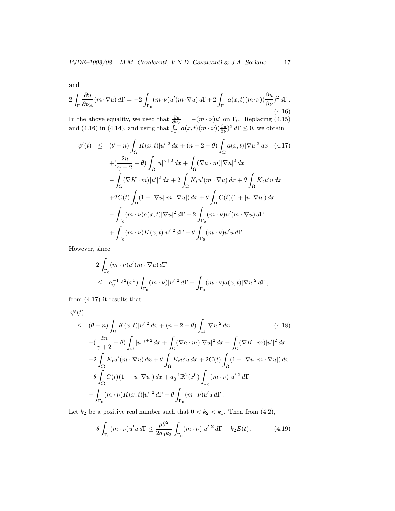and

$$
2\int_{\Gamma} \frac{\partial u}{\partial \nu_A} (m \cdot \nabla u) d\Gamma = -2 \int_{\Gamma_0} (m \cdot \nu) u'(m \cdot \nabla u) d\Gamma + 2 \int_{\Gamma_1} a(x, t) (m \cdot \nu) (\frac{\partial u}{\partial \nu})^2 d\Gamma.
$$
\n(4.16)

In the above equality, we used that  $\frac{\partial u}{\partial \nu_A} = -(m \cdot \nu)u'$  on  $\Gamma_0$ . Replacing (4.15) and (4.16) in (4.14), and using that  $\int_{\Gamma_1} a(x,t)(m \cdot \nu)(\frac{\partial u}{\partial \nu})^2 d\Gamma \leq 0$ , we obtain

$$
\psi'(t) \leq (\theta - n) \int_{\Omega} K(x, t) |u'|^2 dx + (n - 2 - \theta) \int_{\Omega} a(x, t) |\nabla u|^2 dx \quad (4.17)
$$

$$
+ \left(\frac{2n}{\gamma + 2} - \theta\right) \int_{\Omega} |u|^{\gamma + 2} dx + \int_{\Omega} (\nabla a \cdot m) |\nabla u|^2 dx
$$

$$
- \int_{\Omega} (\nabla K \cdot m) |u'|^2 dx + 2 \int_{\Omega} K_t u'(m \cdot \nabla u) dx + \theta \int_{\Omega} K_t u' u dx
$$

$$
+ 2C(t) \int_{\Omega} (1 + |\nabla u||m \cdot \nabla u|) dx + \theta \int_{\Omega} C(t) (1 + |u||\nabla u|) dx
$$

$$
- \int_{\Gamma_0} (m \cdot \nu) a(x, t) |\nabla u|^2 d\Gamma - 2 \int_{\Gamma_0} (m \cdot \nu) u'(m \cdot \nabla u) d\Gamma
$$

$$
+ \int_{\Gamma_0} (m \cdot \nu) K(x, t) |u'|^2 d\Gamma - \theta \int_{\Gamma_0} (m \cdot \nu) u' u d\Gamma.
$$

However, since

$$
-2\int_{\Gamma_0} (m \cdot \nu) u'(m \cdot \nabla u) d\Gamma
$$
  
\$\leq\$  $a_0^{-1} \mathbb{R}^2(x^0) \int_{\Gamma_0} (m \cdot \nu) |u'|^2 d\Gamma + \int_{\Gamma_0} (m \cdot \nu) a(x,t) |\nabla u|^2 d\Gamma$ ,$ 

from (4.17) it results that

$$
\psi'(t) \leq (\theta - n) \int_{\Omega} K(x, t) |u'|^2 dx + (n - 2 - \theta) \int_{\Omega} |\nabla u|^2 dx \qquad (4.18)
$$
  
+ 
$$
(\frac{2n}{\gamma + 2} - \theta) \int_{\Omega} |u|^{\gamma + 2} dx + \int_{\Omega} (\nabla a \cdot m) |\nabla u|^2 dx - \int_{\Omega} (\nabla K \cdot m) |u'|^2 dx
$$
  
+ 
$$
2 \int_{\Omega} K_t u'(m \cdot \nabla u) dx + \theta \int_{\Omega} K_t u' u dx + 2C(t) \int_{\Omega} (1 + |\nabla u||m \cdot \nabla u|) dx
$$
  
+ 
$$
\theta \int_{\Omega} C(t) (1 + |u| |\nabla u|) dx + a_0^{-1} \mathbb{R}^2(x^0) \int_{\Gamma_0} (m \cdot \nu) |u'|^2 d\Gamma
$$
  
+ 
$$
\int_{\Gamma_0} (m \cdot \nu) K(x, t) |u'|^2 d\Gamma - \theta \int_{\Gamma_0} (m \cdot \nu) u' u d\Gamma.
$$
 (4.18)

Let  $k_2$  be a positive real number such that  $0 < k_2 < k_1$ . Then from (4.2),

$$
-\theta \int_{\Gamma_0} (m \cdot \nu) u' u \, d\Gamma \le \frac{\mu \theta^2}{2a_0 k_2} \int_{\Gamma_0} (m \cdot \nu) |u'|^2 \, d\Gamma + k_2 E(t). \tag{4.19}
$$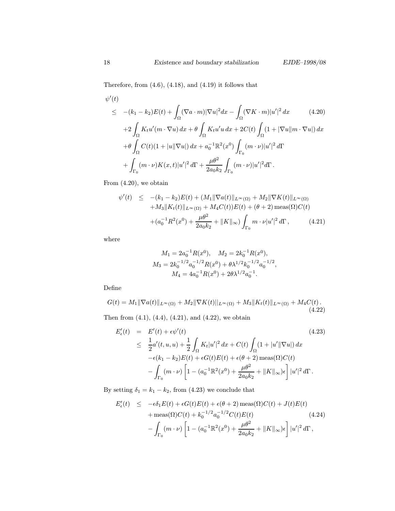Therefore, from  $(4.6)$ ,  $(4.18)$ , and  $(4.19)$  it follows that

$$
\psi'(t)
$$
\n
$$
\leq -(k_1 - k_2)E(t) + \int_{\Omega} (\nabla a \cdot m)|\nabla u|^2 dx - \int_{\Omega} (\nabla K \cdot m)|u'|^2 dx \qquad (4.20)
$$
\n
$$
+ 2 \int_{\Omega} K_t u'(m \cdot \nabla u) dx + \theta \int_{\Omega} K_t u'(u dx + 2C(t) \int_{\Omega} (1 + |\nabla u||m \cdot \nabla u|) dx
$$
\n
$$
+ \theta \int_{\Omega} C(t)(1 + |u||\nabla u|) dx + a_0^{-1} \mathbb{R}^2(x^0) \int_{\Gamma_0} (m \cdot \nu)|u'|^2 d\Gamma
$$
\n
$$
+ \int_{\Gamma_0} (m \cdot \nu)K(x, t)|u'|^2 d\Gamma + \frac{\mu \theta^2}{2a_0 k_2} \int_{\Gamma_0} (m \cdot \nu)|u'|^2 d\Gamma.
$$

From (4.20), we obtain

$$
\psi'(t) \leq -(k_1 - k_2)E(t) + (M_1 \|\nabla a(t)\|_{L^{\infty}(\Omega)} + M_2 \|\nabla K(t)\|_{L^{\infty}(\Omega)} \n+ M_3 \|K_t(t)\|_{L^{\infty}(\Omega)} + M_4 C(t)E(t) + (\theta + 2) \operatorname{meas}(\Omega)C(t) \n+ (a_0^{-1}R^2(x^0) + \frac{\mu\theta^2}{2a_0k_2} + \|K\|_{\infty}) \int_{\Gamma_0} m \cdot \nu |u'|^2 d\Gamma,
$$
\n(4.21)

where

$$
M_1 = 2a_0^{-1}R(x^0), \quad M_2 = 2k_0^{-1}R(x^0),
$$
  
\n
$$
M_3 = 2k_0^{-1/2}a_0^{-1/2}R(x^0) + \theta \lambda^{1/2}k_0^{-1/2}a_0^{-1/2},
$$
  
\n
$$
M_4 = 4a_0^{-1}R(x^0) + 2\theta \lambda^{1/2}a_0^{-1}.
$$

Define

$$
G(t) = M_1 \|\nabla a(t)\|_{L^{\infty}(\Omega)} + M_2 \|\nabla K(t)\|_{L^{\infty}(\Omega)} + M_3 \|K_t(t)\|_{L^{\infty}(\Omega)} + M_4 C(t).
$$
\n(4.22)

Then from  $(4.1)$ ,  $(4.4)$ ,  $(4.21)$ , and  $(4.22)$ , we obtain

$$
E'_{\epsilon}(t) = E'(t) + \epsilon \psi'(t)
$$
\n
$$
\leq \frac{1}{2} a'(t, u, u) + \frac{1}{2} \int_{\Omega} K_t |u'|^2 dx + C(t) \int_{\Omega} (1 + |u'||\nabla u|) dx
$$
\n
$$
-\epsilon(k_1 - k_2) E(t) + \epsilon G(t) E(t) + \epsilon(\theta + 2) \operatorname{meas}(\Omega) C(t)
$$
\n
$$
- \int_{\Gamma_0} (m \cdot \nu) \left[ 1 - (a_0^{-1} \mathbb{R}^2(x^0) + \frac{\mu \theta^2}{2a_0 k_2} + ||K||_{\infty}) \epsilon \right] |u'|^2 d\Gamma.
$$
\n(4.23)

By setting  $\delta_1 = k_1 - k_2$ , from (4.23) we conclude that

$$
E'_{\epsilon}(t) \leq -\epsilon \delta_1 E(t) + \epsilon G(t)E(t) + \epsilon(\theta + 2) \operatorname{meas}(\Omega)C(t) + J(t)E(t) + \operatorname{meas}(\Omega)C(t) + k_0^{-1/2} a_0^{-1/2} C(t)E(t) \qquad (4.24) - \int_{\Gamma_0} (m \cdot \nu) \left[ 1 - (a_0^{-1} \mathbb{R}^2(x^0) + \frac{\mu \theta^2}{2a_0 k_2} + ||K||_{\infty}) \epsilon \right] |u'|^2 d\Gamma,
$$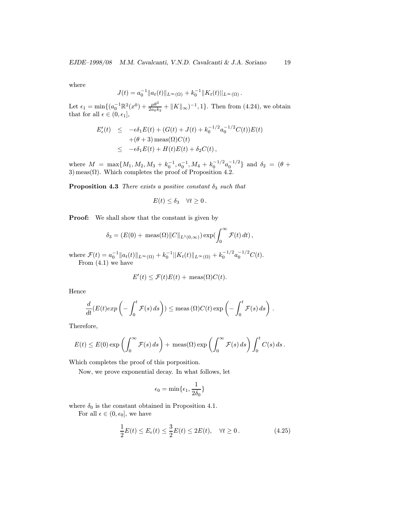where

$$
J(t) = a_0^{-1} ||a_t(t)||_{L^{\infty}(\Omega)} + k_0^{-1} ||K_t(t)||_{L^{\infty}(\Omega)}.
$$

Let  $\epsilon_1 = \min\{(a_0^{-1} \mathbb{R}^2 (x^0) + \frac{\mu \theta^2}{2a_0 k_2} + ||K||_{\infty})^{-1}, 1\}$ . Then from (4.24), we obtain that for all  $\epsilon \in (0, \epsilon_1],$ 

$$
E'_{\epsilon}(t) \le -\epsilon \delta_1 E(t) + (G(t) + J(t) + k_0^{-1/2} a_0^{-1/2} C(t)) E(t)
$$
  
 
$$
+ (\theta + 3) \operatorname{meas}(\Omega) C(t)
$$
  
 
$$
\le -\epsilon \delta_1 E(t) + H(t) E(t) + \delta_2 C(t),
$$

where  $M = \max\{M_1, M_2, M_3 + k_0^{-1}, a_0^{-1}, M_4 + k_0^{-1/2} a_0^{-1/2}\}\$ and  $\delta_2 = (\theta + \theta_2)^{-1/2}$ 3) meas( $\Omega$ ). Which completes the proof of Proposition 4.2.

**Proposition 4.3** There exists a positive constant  $\delta_3$  such that

$$
E(t) \leq \delta_3 \quad \forall t \geq 0.
$$

**Proof:** We shall show that the constant is given by

$$
\delta_3 = (E(0) + \operatorname{meas}(\Omega) ||C||_{L^1(0,\infty)}) \exp(\int_0^\infty \mathcal{F}(t) dt),
$$

where  $\mathcal{F}(t) = a_0^{-1} ||a_t(t)||_{L^{\infty}(\Omega)} + k_0^{-1} ||K_t(t)||_{L^{\infty}(\Omega)} + k_0^{-1/2} a_0^{-1/2} C(t)$ . From  $(4.1)$  we have

$$
E'(t) \le \mathcal{F}(t)E(t) + \text{meas}(\Omega)C(t).
$$

Hence

$$
\frac{d}{dt}(E(t)exp\left(-\int_0^t \mathcal{F}(s) ds\right)) \leq \text{meas}(\Omega)C(t) \exp\left(-\int_0^t \mathcal{F}(s) ds\right).
$$

Therefore,

$$
E(t) \leq E(0) \exp \left( \int_0^\infty \mathcal{F}(s) \, ds \right) + \operatorname{meas}(\Omega) \exp \left( \int_0^\infty \mathcal{F}(s) \, ds \right) \int_0^t C(s) \, ds.
$$

Which completes the proof of this porposition.

Now, we prove exponential decay. In what follows, let

$$
\epsilon_0=\min\{\epsilon_1,\frac{1}{2\delta_0}\}
$$

where  $\delta_0$  is the constant obtained in Proposition 4.1.

For all  $\epsilon \in (0, \epsilon_0]$ , we have

$$
\frac{1}{2}E(t) \le E_{\epsilon}(t) \le \frac{3}{2}E(t) \le 2E(t), \quad \forall t \ge 0.
$$
 (4.25)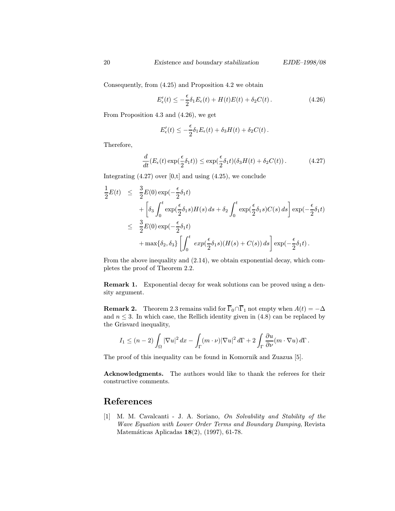Consequently, from (4.25) and Proposition 4.2 we obtain

$$
E'_{\epsilon}(t) \leq -\frac{\epsilon}{2}\delta_1 E_{\epsilon}(t) + H(t)E(t) + \delta_2 C(t). \qquad (4.26)
$$

From Proposition 4.3 and (4.26), we get

$$
E'_{\epsilon}(t) \leq -\frac{\epsilon}{2}\delta_1 E_{\epsilon}(t) + \delta_3 H(t) + \delta_2 C(t).
$$

Therefore,

$$
\frac{d}{dt}(E_{\epsilon}(t)\exp(\frac{\epsilon}{2}\delta_1 t)) \le \exp(\frac{\epsilon}{2}\delta_1 t)(\delta_3 H(t) + \delta_2 C(t)).\tag{4.27}
$$

Integrating  $(4.27)$  over  $[0, t]$  and using  $(4.25)$ , we conclude

$$
\frac{1}{2}E(t) \leq \frac{3}{2}E(0) \exp(-\frac{\epsilon}{2}\delta_1 t) \n+ \left[\delta_3 \int_0^t \exp(\frac{\epsilon}{2}\delta_1 s)H(s) ds + \delta_2 \int_0^t \exp(\frac{\epsilon}{2}\delta_1 s)C(s) ds\right] \exp(-\frac{\epsilon}{2}\delta_1 t) \n\leq \frac{3}{2}E(0) \exp(-\frac{\epsilon}{2}\delta_1 t) \n+ \max{\delta_2, \delta_3} \left[ \int_0^t \exp(\frac{\epsilon}{2}\delta_1 s)(H(s) + C(s)) ds \right] \exp(-\frac{\epsilon}{2}\delta_1 t).
$$

From the above inequality and (2.14), we obtain exponential decay, which completes the proof of Theorem 2.2.

Remark 1. Exponential decay for weak solutions can be proved using a density argument.

**Remark 2.** Theorem 2.3 remains valid for  $\overline{\Gamma}_0 \cap \overline{\Gamma}_1$  not empty when  $A(t) = -\Delta$ and  $n \leq 3$ . In which case, the Rellich identity given in (4.8) can be replaced by the Grisvard inequality,

$$
I_1 \le (n-2) \int_{\Omega} |\nabla u|^2 dx - \int_{\Gamma} (m \cdot \nu) |\nabla u|^2 d\Gamma + 2 \int_{\Gamma} \frac{\partial u}{\partial \nu} (m \cdot \nabla u) d\Gamma.
$$

The proof of this inequality can be found in Komornik and Zuazua [5].

Acknowledgments. The authors would like to thank the referees for their constructive comments.

## References

[1] M. M. Cavalcanti - J. A. Soriano, On Solvability and Stability of the Wave Equation with Lower Order Terms and Boundary Damping, Revista Matemáticas Aplicadas 18(2), (1997), 61-78.